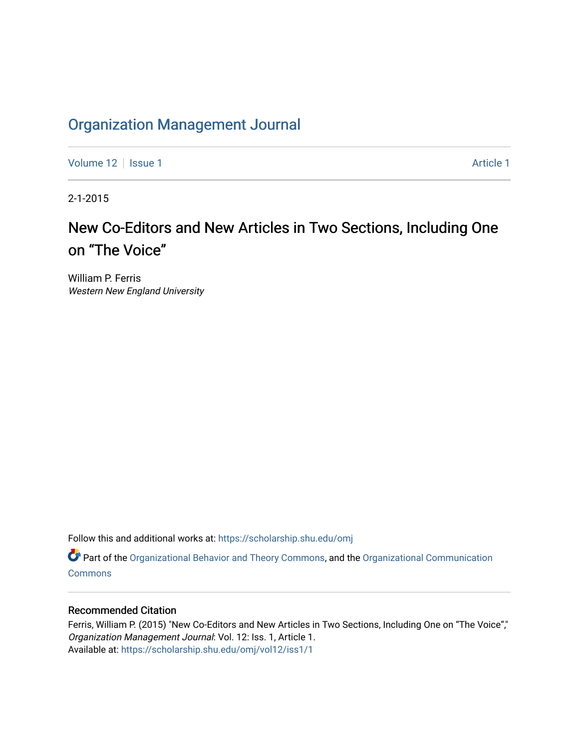## [Organization Management Journal](https://scholarship.shu.edu/omj)

[Volume 12](https://scholarship.shu.edu/omj/vol12) | [Issue 1](https://scholarship.shu.edu/omj/vol12/iss1) Article 1

2-1-2015

# New Co-Editors and New Articles in Two Sections, Including One on "The Voice"

William P. Ferris Western New England University

Follow this and additional works at: [https://scholarship.shu.edu/omj](https://scholarship.shu.edu/omj?utm_source=scholarship.shu.edu%2Fomj%2Fvol12%2Fiss1%2F1&utm_medium=PDF&utm_campaign=PDFCoverPages) 

Part of the [Organizational Behavior and Theory Commons,](http://network.bepress.com/hgg/discipline/639?utm_source=scholarship.shu.edu%2Fomj%2Fvol12%2Fiss1%2F1&utm_medium=PDF&utm_campaign=PDFCoverPages) and the [Organizational Communication](http://network.bepress.com/hgg/discipline/335?utm_source=scholarship.shu.edu%2Fomj%2Fvol12%2Fiss1%2F1&utm_medium=PDF&utm_campaign=PDFCoverPages) **[Commons](http://network.bepress.com/hgg/discipline/335?utm_source=scholarship.shu.edu%2Fomj%2Fvol12%2Fiss1%2F1&utm_medium=PDF&utm_campaign=PDFCoverPages)** 

#### Recommended Citation

Ferris, William P. (2015) "New Co-Editors and New Articles in Two Sections, Including One on "The Voice"," Organization Management Journal: Vol. 12: Iss. 1, Article 1. Available at: [https://scholarship.shu.edu/omj/vol12/iss1/1](https://scholarship.shu.edu/omj/vol12/iss1/1?utm_source=scholarship.shu.edu%2Fomj%2Fvol12%2Fiss1%2F1&utm_medium=PDF&utm_campaign=PDFCoverPages)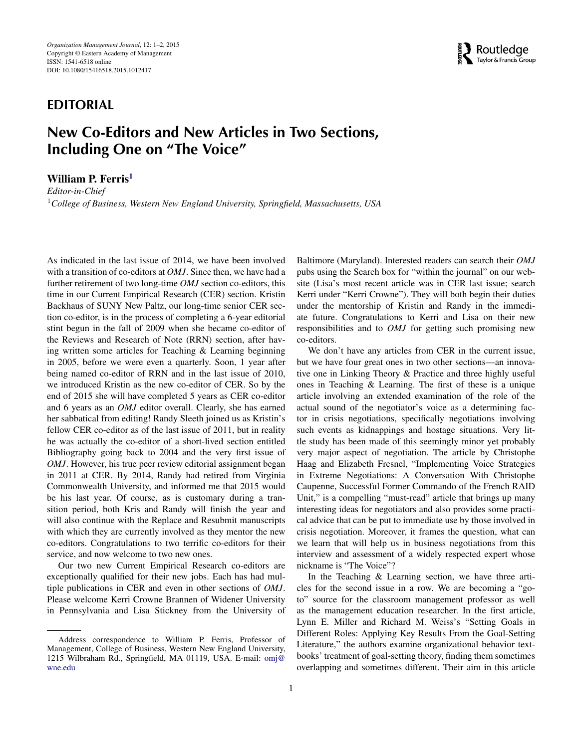### **EDITORIAL**

## **New Co-Editors and New Articles in Two Sections, Including One on "The Voice"**

**William P. Ferris[1](#page-1-0)**

<span id="page-1-0"></span>*Editor-in-Chief* <sup>1</sup>*College of Business, Western New England University, Springfield, Massachusetts, USA*

As indicated in the last issue of 2014, we have been involved with a transition of co-editors at *OMJ*. Since then, we have had a further retirement of two long-time *OMJ* section co-editors, this time in our Current Empirical Research (CER) section. Kristin Backhaus of SUNY New Paltz, our long-time senior CER section co-editor, is in the process of completing a 6-year editorial stint begun in the fall of 2009 when she became co-editor of the Reviews and Research of Note (RRN) section, after having written some articles for Teaching & Learning beginning in 2005, before we were even a quarterly. Soon, 1 year after being named co-editor of RRN and in the last issue of 2010, we introduced Kristin as the new co-editor of CER. So by the end of 2015 she will have completed 5 years as CER co-editor and 6 years as an *OMJ* editor overall. Clearly, she has earned her sabbatical from editing! Randy Sleeth joined us as Kristin's fellow CER co-editor as of the last issue of 2011, but in reality he was actually the co-editor of a short-lived section entitled Bibliography going back to 2004 and the very first issue of *OMJ*. However, his true peer review editorial assignment began in 2011 at CER. By 2014, Randy had retired from Virginia Commonwealth University, and informed me that 2015 would be his last year. Of course, as is customary during a transition period, both Kris and Randy will finish the year and will also continue with the Replace and Resubmit manuscripts with which they are currently involved as they mentor the new co-editors. Congratulations to two terrific co-editors for their service, and now welcome to two new ones.

Our two new Current Empirical Research co-editors are exceptionally qualified for their new jobs. Each has had multiple publications in CER and even in other sections of *OMJ*. Please welcome Kerri Crowne Brannen of Widener University in Pennsylvania and Lisa Stickney from the University of

Baltimore (Maryland). Interested readers can search their *OMJ* pubs using the Search box for "within the journal" on our website (Lisa's most recent article was in CER last issue; search Kerri under "Kerri Crowne"). They will both begin their duties under the mentorship of Kristin and Randy in the immediate future. Congratulations to Kerri and Lisa on their new responsibilities and to *OMJ* for getting such promising new co-editors.

We don't have any articles from CER in the current issue, but we have four great ones in two other sections—an innovative one in Linking Theory & Practice and three highly useful ones in Teaching & Learning. The first of these is a unique article involving an extended examination of the role of the actual sound of the negotiator's voice as a determining factor in crisis negotiations, specifically negotiations involving such events as kidnappings and hostage situations. Very little study has been made of this seemingly minor yet probably very major aspect of negotiation. The article by Christophe Haag and Elizabeth Fresnel, "Implementing Voice Strategies in Extreme Negotiations: A Conversation With Christophe Caupenne, Successful Former Commando of the French RAID Unit," is a compelling "must-read" article that brings up many interesting ideas for negotiators and also provides some practical advice that can be put to immediate use by those involved in crisis negotiation. Moreover, it frames the question, what can we learn that will help us in business negotiations from this interview and assessment of a widely respected expert whose nickname is "The Voice"?

In the Teaching & Learning section, we have three articles for the second issue in a row. We are becoming a "goto" source for the classroom management professor as well as the management education researcher. In the first article, Lynn E. Miller and Richard M. Weiss's "Setting Goals in Different Roles: Applying Key Results From the Goal-Setting Literature," the authors examine organizational behavior textbooks' treatment of goal-setting theory, finding them sometimes overlapping and sometimes different. Their aim in this article



Address correspondence to William P. Ferris, Professor of Management, College of Business, Western New England University, 1215 Wilbraham Rd., Springfield, MA 01119, USA. E-mail: [omj@](mailto:omj@wne.edu) [wne.edu](mailto:omj@wne.edu)